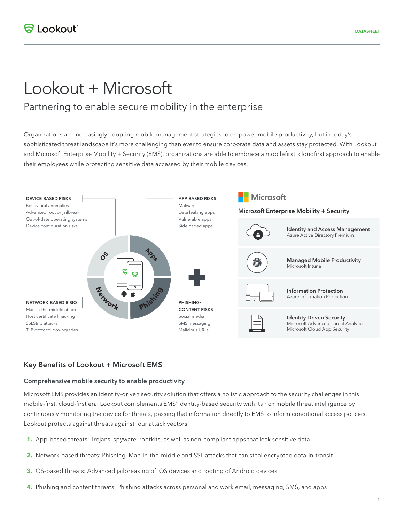# Lookout + Microsoft

## Partnering to enable secure mobility in the enterprise

Organizations are increasingly adopting mobile management strategies to empower mobile productivity, but in today's sophisticated threat landscape it's more challenging than ever to ensure corporate data and assets stay protected. With Lookout and Microsoft Enterprise Mobility + Security (EMS), organizations are able to embrace a mobilefirst, cloudfirst approach to enable their employees while protecting sensitive data accessed by their mobile devices.



#### **Key Benefits of Lookout + Microsoft EMS**

#### **Comprehensive mobile security to enable productivity**

Microsoft EMS provides an identity-driven security solution that offers a holistic approach to the security challenges in this mobile-first, cloud-first era. Lookout complements EMS' identity-based security with its rich mobile threat intelligence by continuously monitoring the device for threats, passing that information directly to EMS to inform conditional access policies. Lookout protects against threats against four attack vectors:

- **1.** App-based threats: Trojans, spyware, rootkits, as well as non-compliant apps that leak sensitive data
- **2.** Network-based threats: Phishing, Man-in-the-middle and SSL attacks that can steal encrypted data-in-transit
- **3.** OS-based threats: Advanced jailbreaking of iOS devices and rooting of Android devices
- **4.** Phishing and content threats: Phishing attacks across personal and work email, messaging, SMS, and apps